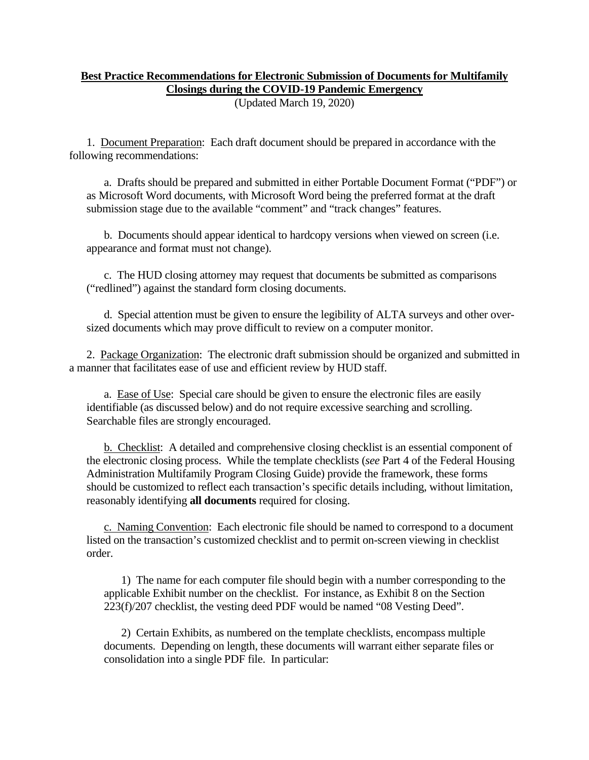## **Best Practice Recommendations for Electronic Submission of Documents for Multifamily Closings during the COVID-19 Pandemic Emergency**

(Updated March 19, 2020)

1. Document Preparation: Each draft document should be prepared in accordance with the following recommendations:

a. Drafts should be prepared and submitted in either Portable Document Format ("PDF") or as Microsoft Word documents, with Microsoft Word being the preferred format at the draft submission stage due to the available "comment" and "track changes" features.

b. Documents should appear identical to hardcopy versions when viewed on screen (i.e. appearance and format must not change).

c. The HUD closing attorney may request that documents be submitted as comparisons ("redlined") against the standard form closing documents.

d. Special attention must be given to ensure the legibility of ALTA surveys and other oversized documents which may prove difficult to review on a computer monitor.

2. Package Organization: The electronic draft submission should be organized and submitted in a manner that facilitates ease of use and efficient review by HUD staff.

a. Ease of Use: Special care should be given to ensure the electronic files are easily identifiable (as discussed below) and do not require excessive searching and scrolling. Searchable files are strongly encouraged.

b. Checklist: A detailed and comprehensive closing checklist is an essential component of the electronic closing process. While the template checklists (*see* Part 4 of the Federal Housing Administration Multifamily Program Closing Guide) provide the framework, these forms should be customized to reflect each transaction's specific details including, without limitation, reasonably identifying **all documents** required for closing.

c. Naming Convention: Each electronic file should be named to correspond to a document listed on the transaction's customized checklist and to permit on-screen viewing in checklist order.

1) The name for each computer file should begin with a number corresponding to the applicable Exhibit number on the checklist. For instance, as Exhibit 8 on the Section 223(f)/207 checklist, the vesting deed PDF would be named "08 Vesting Deed".

2) Certain Exhibits, as numbered on the template checklists, encompass multiple documents. Depending on length, these documents will warrant either separate files or consolidation into a single PDF file. In particular: